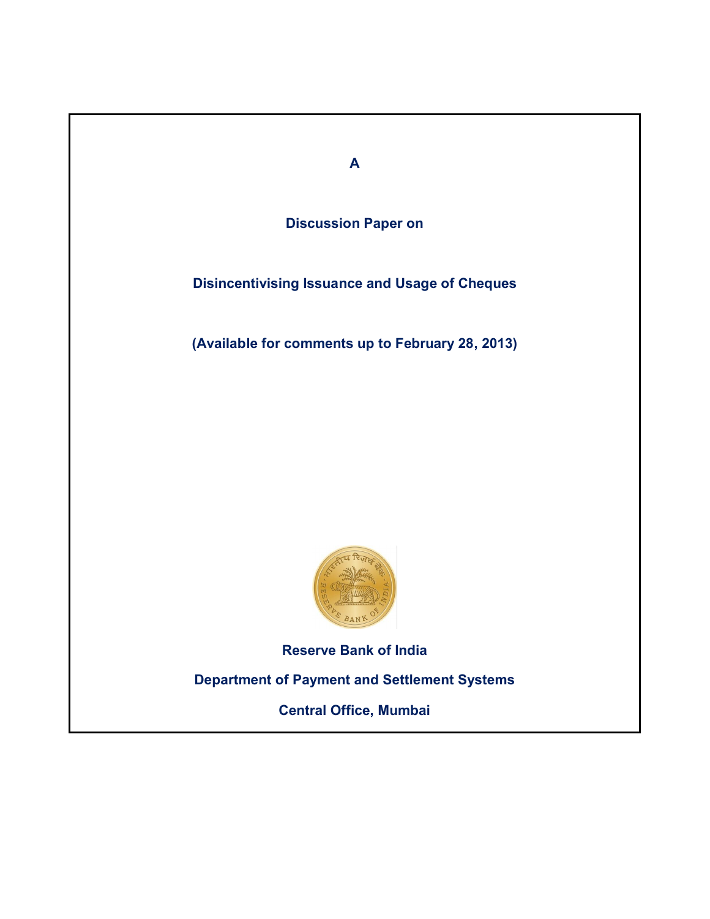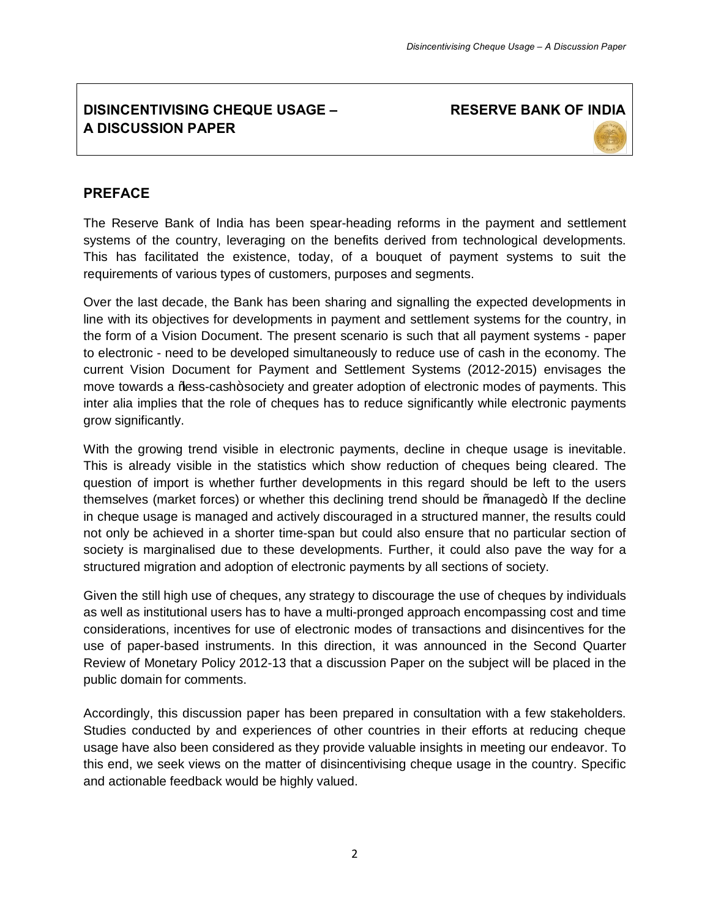# **DISINCENTIVISING CHEQUE USAGE – A DISCUSSION PAPER**

**RESERVE BANK OF INDIA**

#### **PREFACE**

The Reserve Bank of India has been spear-heading reforms in the payment and settlement systems of the country, leveraging on the benefits derived from technological developments. This has facilitated the existence, today, of a bouquet of payment systems to suit the requirements of various types of customers, purposes and segments.

Over the last decade, the Bank has been sharing and signalling the expected developments in line with its objectives for developments in payment and settlement systems for the country, in the form of a Vision Document. The present scenario is such that all payment systems - paper to electronic - need to be developed simultaneously to reduce use of cash in the economy. The current Vision Document for Payment and Settlement Systems (2012-2015) envisages the move towards a %ess-cash+society and greater adoption of electronic modes of payments. This inter alia implies that the role of cheques has to reduce significantly while electronic payments grow significantly.

With the growing trend visible in electronic payments, decline in cheque usage is inevitable. This is already visible in the statistics which show reduction of cheques being cleared. The question of import is whether further developments in this regard should be left to the users themselves (market forces) or whether this declining trend should be 'managed+. If the decline in cheque usage is managed and actively discouraged in a structured manner, the results could not only be achieved in a shorter time-span but could also ensure that no particular section of society is marginalised due to these developments. Further, it could also pave the way for a structured migration and adoption of electronic payments by all sections of society.

Given the still high use of cheques, any strategy to discourage the use of cheques by individuals as well as institutional users has to have a multi-pronged approach encompassing cost and time considerations, incentives for use of electronic modes of transactions and disincentives for the use of paper-based instruments. In this direction, it was announced in the Second Quarter Review of Monetary Policy 2012-13 that a discussion Paper on the subject will be placed in the public domain for comments.

Accordingly, this discussion paper has been prepared in consultation with a few stakeholders. Studies conducted by and experiences of other countries in their efforts at reducing cheque usage have also been considered as they provide valuable insights in meeting our endeavor. To this end, we seek views on the matter of disincentivising cheque usage in the country. Specific and actionable feedback would be highly valued.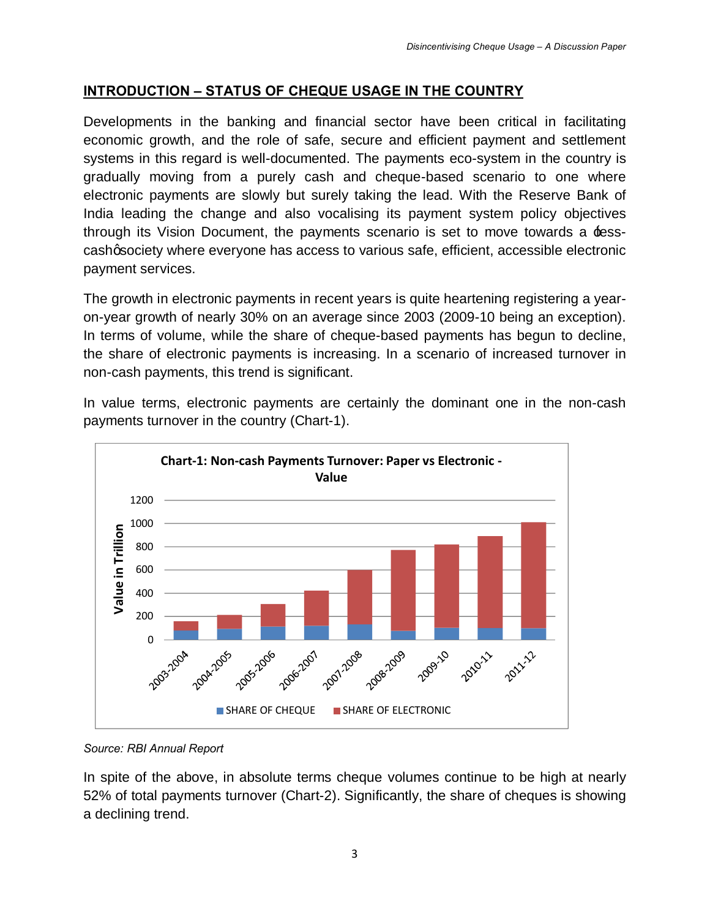## **INTRODUCTION – STATUS OF CHEQUE USAGE IN THE COUNTRY**

Developments in the banking and financial sector have been critical in facilitating economic growth, and the role of safe, secure and efficient payment and settlement systems in this regard is well-documented. The payments eco-system in the country is gradually moving from a purely cash and cheque-based scenario to one where electronic payments are slowly but surely taking the lead. With the Reserve Bank of India leading the change and also vocalising its payment system policy objectives through its Vision Document, the payments scenario is set to move towards a  $\pm$ esscashgsociety where everyone has access to various safe, efficient, accessible electronic payment services.

The growth in electronic payments in recent years is quite heartening registering a yearon-year growth of nearly 30% on an average since 2003 (2009-10 being an exception). In terms of volume, while the share of cheque-based payments has begun to decline, the share of electronic payments is increasing. In a scenario of increased turnover in non-cash payments, this trend is significant.

In value terms, electronic payments are certainly the dominant one in the non-cash payments turnover in the country (Chart-1).



*Source: RBI Annual Report*

In spite of the above, in absolute terms cheque volumes continue to be high at nearly 52% of total payments turnover (Chart-2). Significantly, the share of cheques is showing a declining trend.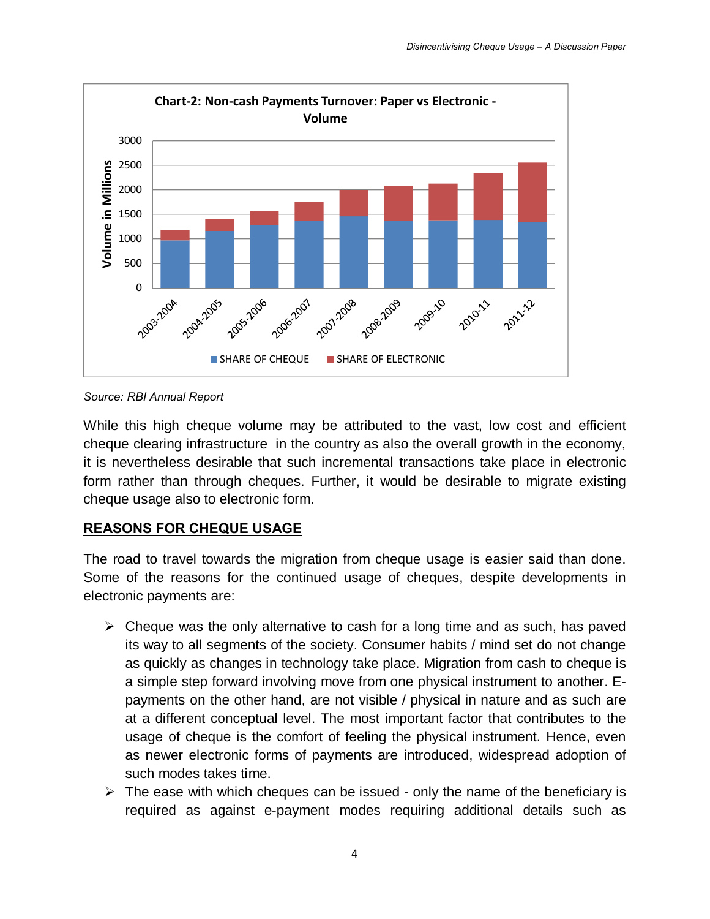

*Source: RBI Annual Report*

While this high cheque volume may be attributed to the vast, low cost and efficient cheque clearing infrastructure in the country as also the overall growth in the economy, it is nevertheless desirable that such incremental transactions take place in electronic form rather than through cheques. Further, it would be desirable to migrate existing cheque usage also to electronic form.

### **REASONS FOR CHEQUE USAGE**

The road to travel towards the migration from cheque usage is easier said than done. Some of the reasons for the continued usage of cheques, despite developments in electronic payments are:

- $\triangleright$  Cheque was the only alternative to cash for a long time and as such, has paved its way to all segments of the society. Consumer habits / mind set do not change as quickly as changes in technology take place. Migration from cash to cheque is a simple step forward involving move from one physical instrument to another. Epayments on the other hand, are not visible / physical in nature and as such are at a different conceptual level. The most important factor that contributes to the usage of cheque is the comfort of feeling the physical instrument. Hence, even as newer electronic forms of payments are introduced, widespread adoption of such modes takes time.
- $\triangleright$  The ease with which cheques can be issued only the name of the beneficiary is required as against e-payment modes requiring additional details such as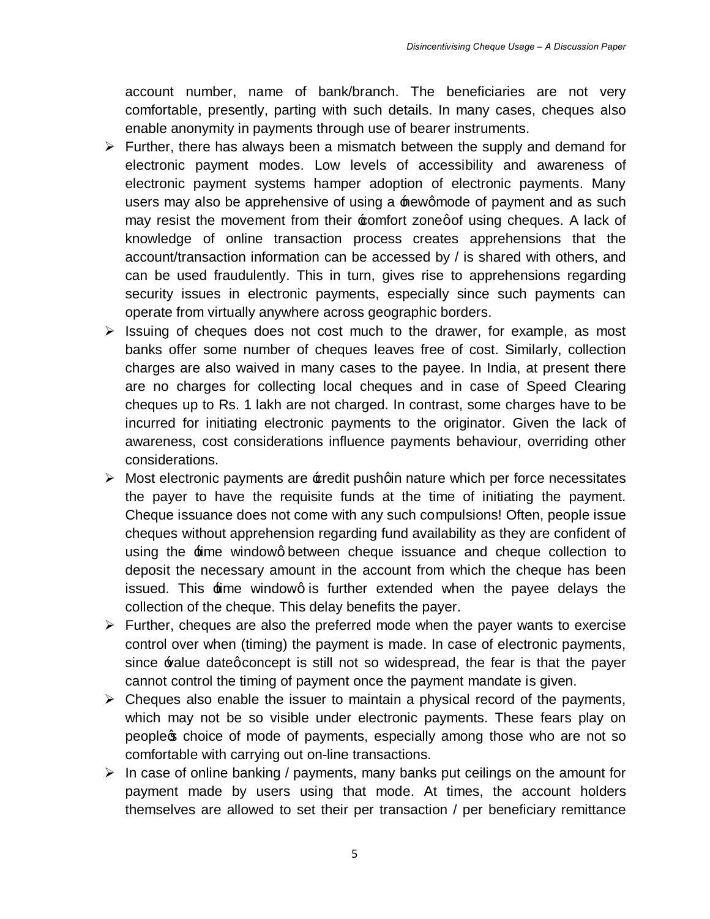account number, name of bank/branch. The beneficiaries are not very comfortable, presently, parting with such details. In many cases, cheques also enable anonymity in payments through use of bearer instruments.

- $\triangleright$  Further, there has always been a mismatch between the supply and demand for electronic payment modes. Low levels of accessibility and awareness of electronic payment systems hamper adoption of electronic payments. Many users may also be apprehensive of using a  $\pm$  ewgmode of payment and as such may resist the movement from their  $\pm$ omfort zonegof using cheques. A lack of knowledge of online transaction process creates apprehensions that the account/transaction information can be accessed by / is shared with others, and can be used fraudulently. This in turn, gives rise to apprehensions regarding security issues in electronic payments, especially since such payments can operate from virtually anywhere across geographic borders.
- $\triangleright$  Issuing of cheques does not cost much to the drawer, for example, as most banks offer some number of cheques leaves free of cost. Similarly, collection charges are also waived in many cases to the payee. In India, at present there are no charges for collecting local cheques and in case of Speed Clearing cheques up to Rs. 1 lakh are not charged. In contrast, some charges have to be incurred for initiating electronic payments to the originator. Given the lack of awareness, cost considerations influence payments behaviour, overriding other considerations.
- $\triangleright$  Most electronic payments are  $\pm$ redit pushqin nature which per force necessitates the payer to have the requisite funds at the time of initiating the payment. Cheque issuance does not come with any such compulsions! Often, people issue cheques without apprehension regarding fund availability as they are confident of using the  $\pm$ ime windowg between cheque issuance and cheque collection to deposit the necessary amount in the account from which the cheque has been issued. This  $\pm$ ime windowg is further extended when the payee delays the collection of the cheque. This delay benefits the payer.
- $\triangleright$  Further, cheques are also the preferred mode when the payer wants to exercise control over when (timing) the payment is made. In case of electronic payments, since  $\triangle$  alue dategconcept is still not so widespread, the fear is that the payer cannot control the timing of payment once the payment mandate is given.
- $\triangleright$  Cheques also enable the issuer to maintain a physical record of the payments, which may not be so visible under electronic payments. These fears play on people of choice of mode of payments, especially among those who are not so comfortable with carrying out on-line transactions.
- $\triangleright$  In case of online banking / payments, many banks put ceilings on the amount for payment made by users using that mode. At times, the account holders themselves are allowed to set their per transaction / per beneficiary remittance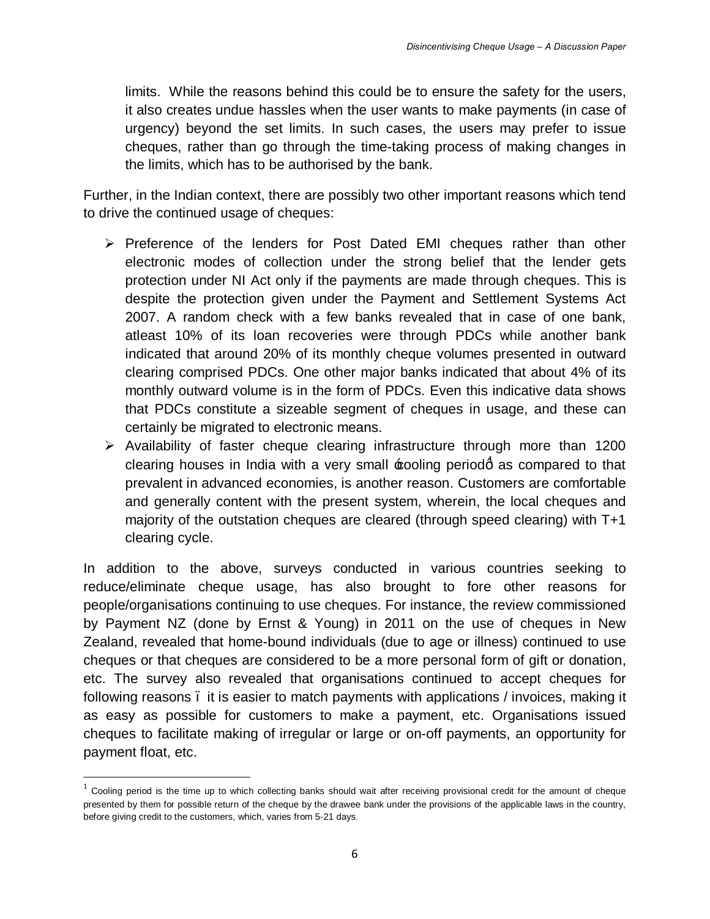limits. While the reasons behind this could be to ensure the safety for the users, it also creates undue hassles when the user wants to make payments (in case of urgency) beyond the set limits. In such cases, the users may prefer to issue cheques, rather than go through the time-taking process of making changes in the limits, which has to be authorised by the bank.

Further, in the Indian context, there are possibly two other important reasons which tend to drive the continued usage of cheques:

- $\triangleright$  Preference of the lenders for Post Dated EMI cheques rather than other electronic modes of collection under the strong belief that the lender gets protection under NI Act only if the payments are made through cheques. This is despite the protection given under the Payment and Settlement Systems Act 2007. A random check with a few banks revealed that in case of one bank, atleast 10% of its loan recoveries were through PDCs while another bank indicated that around 20% of its monthly cheque volumes presented in outward clearing comprised PDCs. One other major banks indicated that about 4% of its monthly outward volume is in the form of PDCs. Even this indicative data shows that PDCs constitute a sizeable segment of cheques in usage, and these can certainly be migrated to electronic means.
- $\triangleright$  Availability of faster cheque clearing infrastructure through more than 1200 clearing houses in India with a very small  $\pmb{\textup{}}$  coling period $\pmb{\textup{d}}$  as compared to that prevalent in advanced economies, is another reason. Customers are comfortable and generally content with the present system, wherein, the local cheques and majority of the outstation cheques are cleared (through speed clearing) with T+1 clearing cycle.

In addition to the above, surveys conducted in various countries seeking to reduce/eliminate cheque usage, has also brought to fore other reasons for people/organisations continuing to use cheques. For instance, the review commissioned by Payment NZ (done by Ernst & Young) in 2011 on the use of cheques in New Zealand, revealed that home-bound individuals (due to age or illness) continued to use cheques or that cheques are considered to be a more personal form of gift or donation, etc. The survey also revealed that organisations continued to accept cheques for following reasons – it is easier to match payments with applications / invoices, making it as easy as possible for customers to make a payment, etc. Organisations issued cheques to facilitate making of irregular or large or on-off payments, an opportunity for payment float, etc.

 $1$  Cooling period is the time up to which collecting banks should wait after receiving provisional credit for the amount of cheque presented by them for possible return of the cheque by the drawee bank under the provisions of the applicable laws in the country, before giving credit to the customers, which, varies from 5-21 days.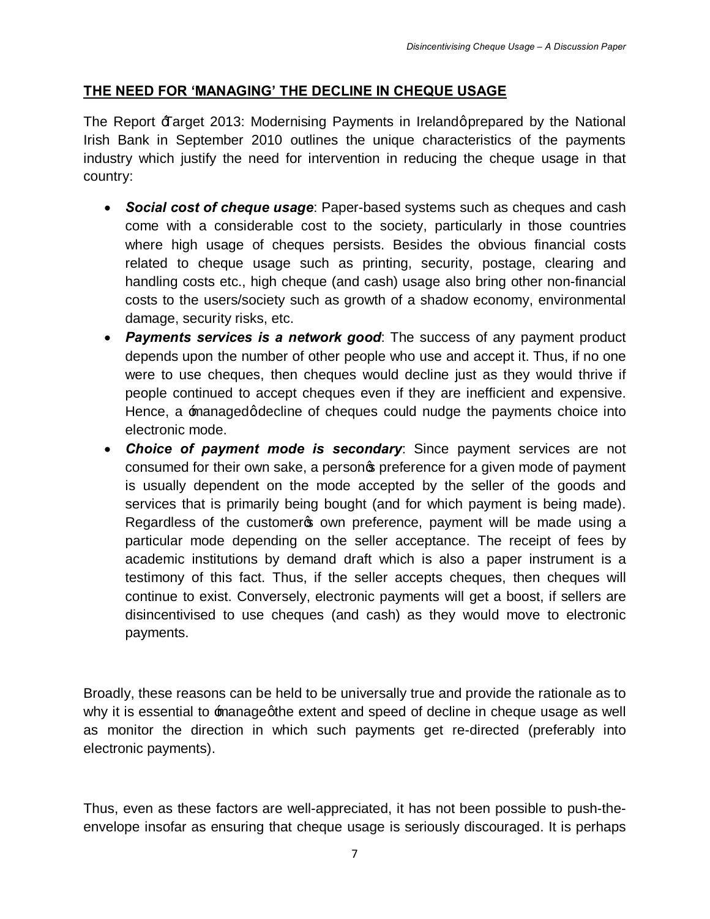# **THE NEED FOR 'MANAGING' THE DECLINE IN CHEQUE USAGE**

The Report  $\text{\texttt{H}}$  arget 2013: Modernising Payments in Irelandgprepared by the National Irish Bank in September 2010 outlines the unique characteristics of the payments industry which justify the need for intervention in reducing the cheque usage in that country:

- · *Social cost of cheque usage*: Paper-based systems such as cheques and cash come with a considerable cost to the society, particularly in those countries where high usage of cheques persists. Besides the obvious financial costs related to cheque usage such as printing, security, postage, clearing and handling costs etc., high cheque (and cash) usage also bring other non-financial costs to the users/society such as growth of a shadow economy, environmental damage, security risks, etc.
- · *Payments services is a network good*: The success of any payment product depends upon the number of other people who use and accept it. Thus, if no one were to use cheques, then cheques would decline just as they would thrive if people continued to accept cheques even if they are inefficient and expensive. Hence, a **managed adecline of cheques could nudge the payments choice into** electronic mode.
- · *Choice of payment mode is secondary*: Since payment services are not consumed for their own sake, a personos preference for a given mode of payment is usually dependent on the mode accepted by the seller of the goods and services that is primarily being bought (and for which payment is being made). Regardless of the customer own preference, payment will be made using a particular mode depending on the seller acceptance. The receipt of fees by academic institutions by demand draft which is also a paper instrument is a testimony of this fact. Thus, if the seller accepts cheques, then cheques will continue to exist. Conversely, electronic payments will get a boost, if sellers are disincentivised to use cheques (and cash) as they would move to electronic payments.

Broadly, these reasons can be held to be universally true and provide the rationale as to why it is essential to managegthe extent and speed of decline in cheque usage as well as monitor the direction in which such payments get re-directed (preferably into electronic payments).

Thus, even as these factors are well-appreciated, it has not been possible to push-theenvelope insofar as ensuring that cheque usage is seriously discouraged. It is perhaps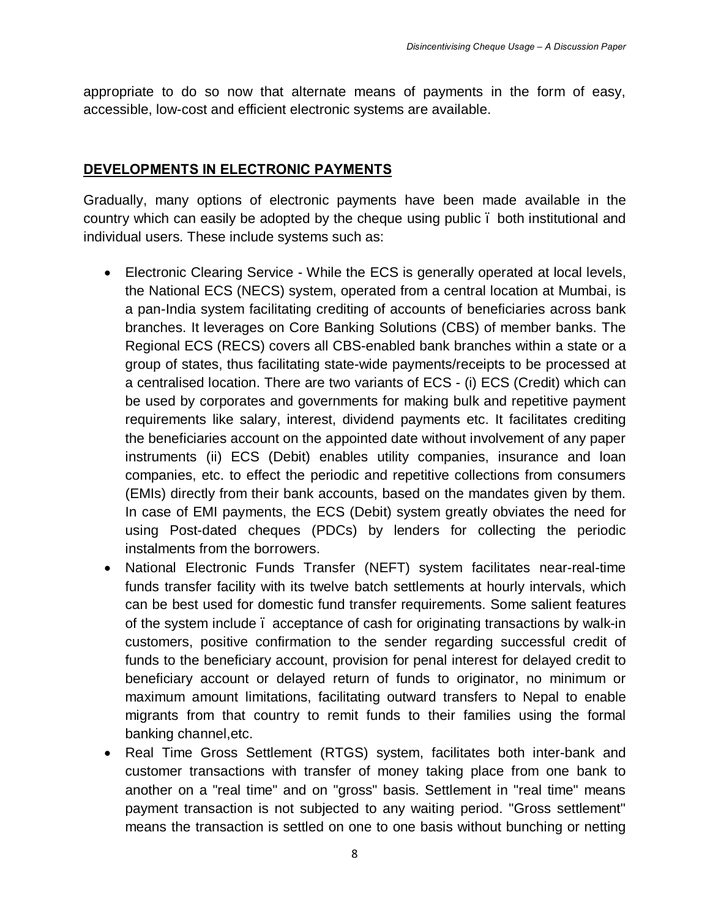appropriate to do so now that alternate means of payments in the form of easy, accessible, low-cost and efficient electronic systems are available.

#### **DEVELOPMENTS IN ELECTRONIC PAYMENTS**

Gradually, many options of electronic payments have been made available in the country which can easily be adopted by the cheque using public – both institutional and individual users. These include systems such as:

- · Electronic Clearing Service While the ECS is generally operated at local levels, the National ECS (NECS) system, operated from a central location at Mumbai, is a pan-India system facilitating crediting of accounts of beneficiaries across bank branches. It leverages on Core Banking Solutions (CBS) of member banks. The Regional ECS (RECS) covers all CBS-enabled bank branches within a state or a group of states, thus facilitating state-wide payments/receipts to be processed at a centralised location. There are two variants of ECS - (i) ECS (Credit) which can be used by corporates and governments for making bulk and repetitive payment requirements like salary, interest, dividend payments etc. It facilitates crediting the beneficiaries account on the appointed date without involvement of any paper instruments (ii) ECS (Debit) enables utility companies, insurance and loan companies, etc. to effect the periodic and repetitive collections from consumers (EMIs) directly from their bank accounts, based on the mandates given by them. In case of EMI payments, the ECS (Debit) system greatly obviates the need for using Post-dated cheques (PDCs) by lenders for collecting the periodic instalments from the borrowers.
- · National Electronic Funds Transfer (NEFT) system facilitates near-real-time funds transfer facility with its twelve batch settlements at hourly intervals, which can be best used for domestic fund transfer requirements. Some salient features of the system include – acceptance of cash for originating transactions by walk-in customers, positive confirmation to the sender regarding successful credit of funds to the beneficiary account, provision for penal interest for delayed credit to beneficiary account or delayed return of funds to originator, no minimum or maximum amount limitations, facilitating outward transfers to Nepal to enable migrants from that country to remit funds to their families using the formal banking channel,etc.
- · Real Time Gross Settlement (RTGS) system, facilitates both inter-bank and customer transactions with transfer of money taking place from one bank to another on a "real time" and on "gross" basis. Settlement in "real time" means payment transaction is not subjected to any waiting period. "Gross settlement" means the transaction is settled on one to one basis without bunching or netting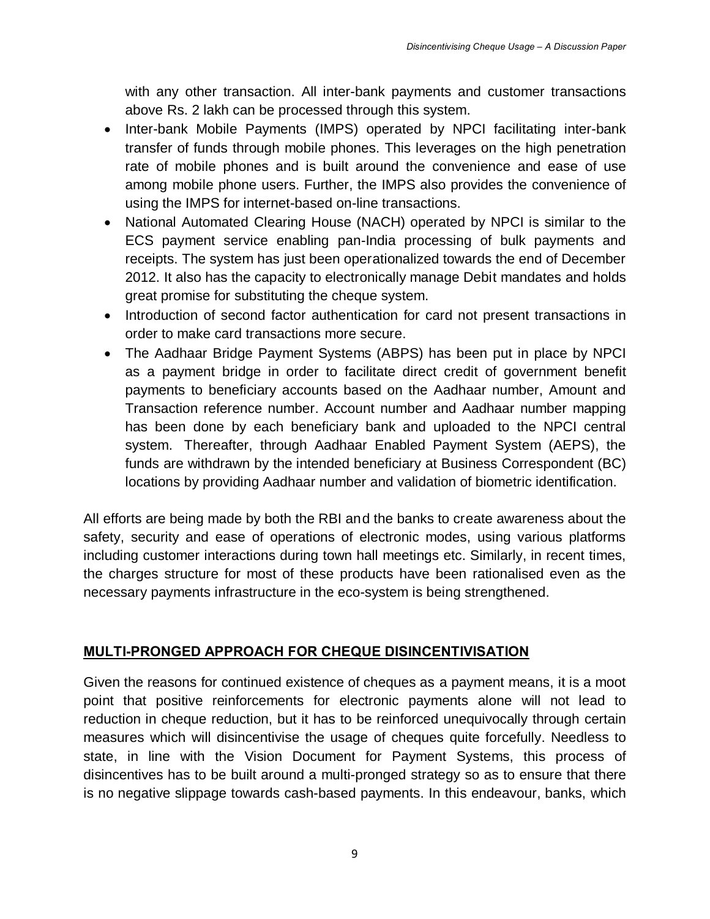with any other transaction. All inter-bank payments and customer transactions above Rs. 2 lakh can be processed through this system.

- · Inter-bank Mobile Payments (IMPS) operated by NPCI facilitating inter-bank transfer of funds through mobile phones. This leverages on the high penetration rate of mobile phones and is built around the convenience and ease of use among mobile phone users. Further, the IMPS also provides the convenience of using the IMPS for internet-based on-line transactions.
- · National Automated Clearing House (NACH) operated by NPCI is similar to the ECS payment service enabling pan-India processing of bulk payments and receipts. The system has just been operationalized towards the end of December 2012. It also has the capacity to electronically manage Debit mandates and holds great promise for substituting the cheque system.
- · Introduction of second factor authentication for card not present transactions in order to make card transactions more secure.
- The Aadhaar Bridge Payment Systems (ABPS) has been put in place by NPCI as a payment bridge in order to facilitate direct credit of government benefit payments to beneficiary accounts based on the Aadhaar number, Amount and Transaction reference number. Account number and Aadhaar number mapping has been done by each beneficiary bank and uploaded to the NPCI central system. Thereafter, through Aadhaar Enabled Payment System (AEPS), the funds are withdrawn by the intended beneficiary at Business Correspondent (BC) locations by providing Aadhaar number and validation of biometric identification.

All efforts are being made by both the RBI and the banks to create awareness about the safety, security and ease of operations of electronic modes, using various platforms including customer interactions during town hall meetings etc. Similarly, in recent times, the charges structure for most of these products have been rationalised even as the necessary payments infrastructure in the eco-system is being strengthened.

#### **MULTI-PRONGED APPROACH FOR CHEQUE DISINCENTIVISATION**

Given the reasons for continued existence of cheques as a payment means, it is a moot point that positive reinforcements for electronic payments alone will not lead to reduction in cheque reduction, but it has to be reinforced unequivocally through certain measures which will disincentivise the usage of cheques quite forcefully. Needless to state, in line with the Vision Document for Payment Systems, this process of disincentives has to be built around a multi-pronged strategy so as to ensure that there is no negative slippage towards cash-based payments. In this endeavour, banks, which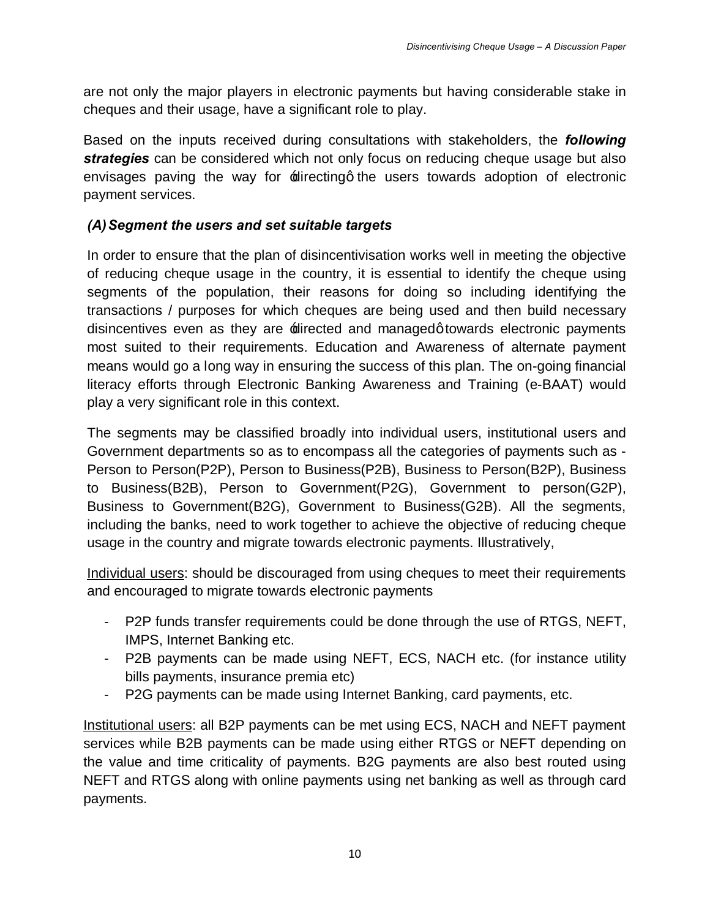are not only the major players in electronic payments but having considerable stake in cheques and their usage, have a significant role to play.

Based on the inputs received during consultations with stakeholders, the *following strategies* can be considered which not only focus on reducing cheque usage but also envisages paving the way for  $\pm$  directing the users towards adoption of electronic payment services.

# *(A)Segment the users and set suitable targets*

In order to ensure that the plan of disincentivisation works well in meeting the objective of reducing cheque usage in the country, it is essential to identify the cheque using segments of the population, their reasons for doing so including identifying the transactions / purposes for which cheques are being used and then build necessary disincentives even as they are  $\pm$  directed and managed q towards electronic payments most suited to their requirements. Education and Awareness of alternate payment means would go a long way in ensuring the success of this plan. The on-going financial literacy efforts through Electronic Banking Awareness and Training (e-BAAT) would play a very significant role in this context.

The segments may be classified broadly into individual users, institutional users and Government departments so as to encompass all the categories of payments such as - Person to Person(P2P), Person to Business(P2B), Business to Person(B2P), Business to Business(B2B), Person to Government(P2G), Government to person(G2P), Business to Government(B2G), Government to Business(G2B). All the segments, including the banks, need to work together to achieve the objective of reducing cheque usage in the country and migrate towards electronic payments. Illustratively,

Individual users: should be discouraged from using cheques to meet their requirements and encouraged to migrate towards electronic payments

- P2P funds transfer requirements could be done through the use of RTGS, NEFT, IMPS, Internet Banking etc.
- P2B payments can be made using NEFT, ECS, NACH etc. (for instance utility bills payments, insurance premia etc)
- P2G payments can be made using Internet Banking, card payments, etc.

Institutional users: all B2P payments can be met using ECS, NACH and NEFT payment services while B2B payments can be made using either RTGS or NEFT depending on the value and time criticality of payments. B2G payments are also best routed using NEFT and RTGS along with online payments using net banking as well as through card payments.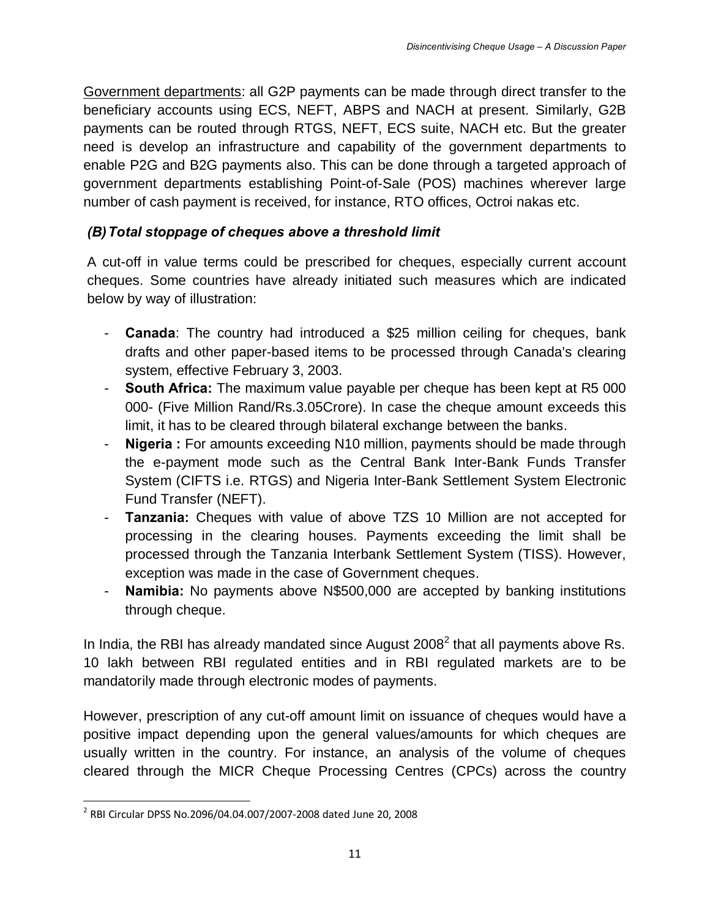Government departments: all G2P payments can be made through direct transfer to the beneficiary accounts using ECS, NEFT, ABPS and NACH at present. Similarly, G2B payments can be routed through RTGS, NEFT, ECS suite, NACH etc. But the greater need is develop an infrastructure and capability of the government departments to enable P2G and B2G payments also. This can be done through a targeted approach of government departments establishing Point-of-Sale (POS) machines wherever large number of cash payment is received, for instance, RTO offices, Octroi nakas etc.

# *(B)Total stoppage of cheques above a threshold limit*

A cut-off in value terms could be prescribed for cheques, especially current account cheques. Some countries have already initiated such measures which are indicated below by way of illustration:

- **Canada**: The country had introduced a \$25 million ceiling for cheques, bank drafts and other paper-based items to be processed through Canada's clearing system, effective February 3, 2003.
- **South Africa:** The maximum value payable per cheque has been kept at R5 000 000- (Five Million Rand/Rs.3.05Crore). In case the cheque amount exceeds this limit, it has to be cleared through bilateral exchange between the banks.
- **Nigeria :** For amounts exceeding N10 million, payments should be made through the e-payment mode such as the Central Bank Inter-Bank Funds Transfer System (CIFTS i.e. RTGS) and Nigeria Inter-Bank Settlement System Electronic Fund Transfer (NEFT).
- **Tanzania:** Cheques with value of above TZS 10 Million are not accepted for processing in the clearing houses. Payments exceeding the limit shall be processed through the Tanzania Interbank Settlement System (TISS). However, exception was made in the case of Government cheques.
- **Namibia:** No payments above N\$500,000 are accepted by banking institutions through cheque.

In India, the RBI has already mandated since August  $2008<sup>2</sup>$  that all payments above Rs. 10 lakh between RBI regulated entities and in RBI regulated markets are to be mandatorily made through electronic modes of payments.

However, prescription of any cut-off amount limit on issuance of cheques would have a positive impact depending upon the general values/amounts for which cheques are usually written in the country. For instance, an analysis of the volume of cheques cleared through the MICR Cheque Processing Centres (CPCs) across the country

 <sup>2</sup> RBI Circular DPSS No.2096/04.04.007/2007-2008 dated June 20, 2008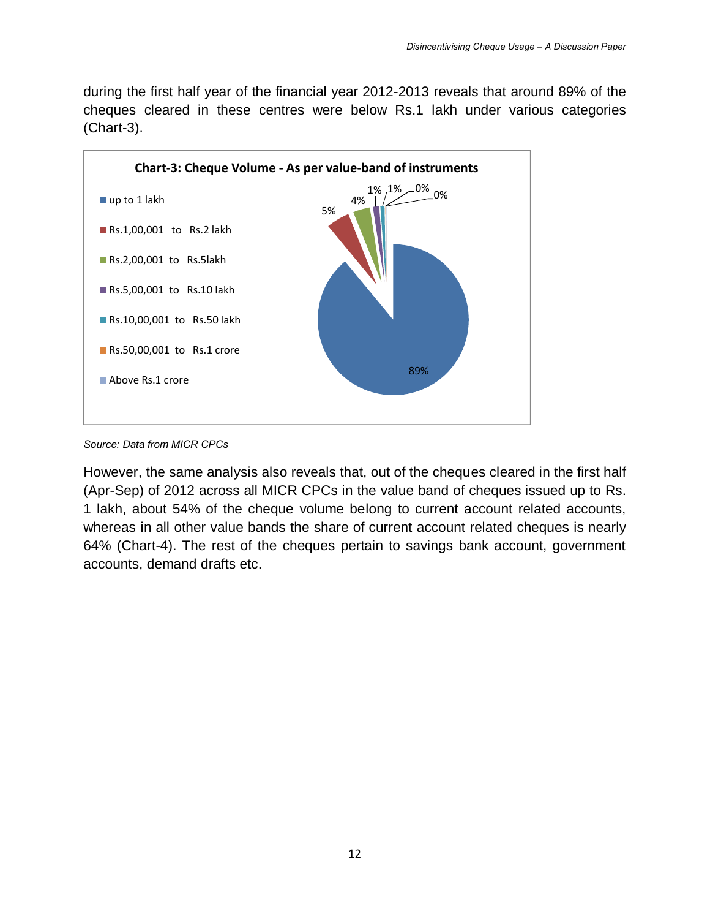during the first half year of the financial year 2012-2013 reveals that around 89% of the cheques cleared in these centres were below Rs.1 lakh under various categories (Chart-3).



*Source: Data from MICR CPCs*

However, the same analysis also reveals that, out of the cheques cleared in the first half (Apr-Sep) of 2012 across all MICR CPCs in the value band of cheques issued up to Rs. 1 lakh, about 54% of the cheque volume belong to current account related accounts, whereas in all other value bands the share of current account related cheques is nearly 64% (Chart-4). The rest of the cheques pertain to savings bank account, government accounts, demand drafts etc.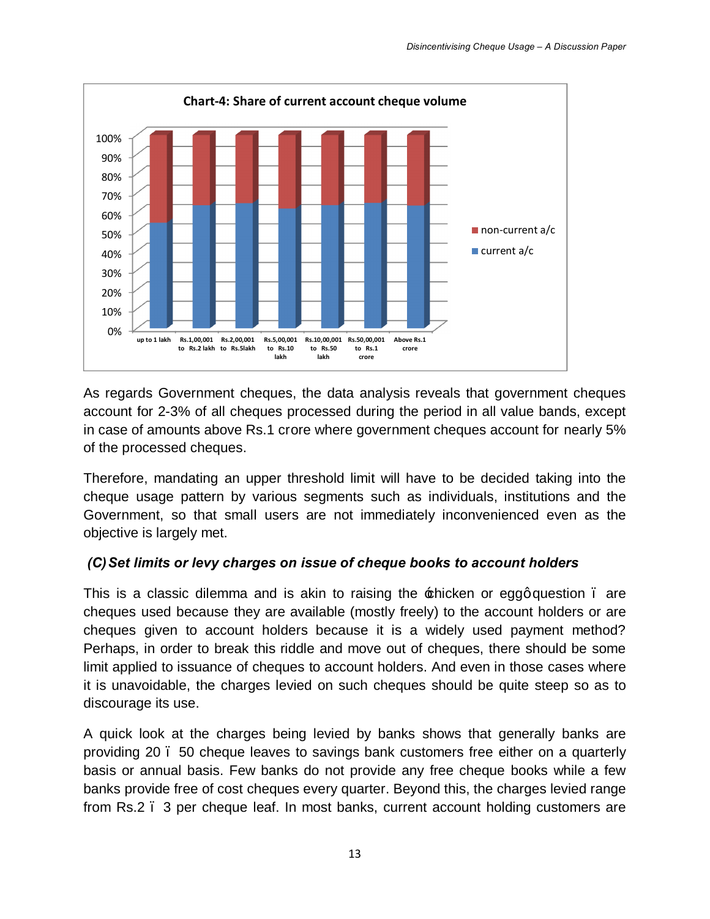

As regards Government cheques, the data analysis reveals that government cheques account for 2-3% of all cheques processed during the period in all value bands, except in case of amounts above Rs.1 crore where government cheques account for nearly 5% of the processed cheques.

Therefore, mandating an upper threshold limit will have to be decided taking into the cheque usage pattern by various segments such as individuals, institutions and the Government, so that small users are not immediately inconvenienced even as the objective is largely met.

### *(C)Set limits or levy charges on issue of cheque books to account holders*

This is a classic dilemma and is akin to raising the  $\pm$ hicken or eggq question. are cheques used because they are available (mostly freely) to the account holders or are cheques given to account holders because it is a widely used payment method? Perhaps, in order to break this riddle and move out of cheques, there should be some limit applied to issuance of cheques to account holders. And even in those cases where it is unavoidable, the charges levied on such cheques should be quite steep so as to discourage its use.

A quick look at the charges being levied by banks shows that generally banks are providing 20 – 50 cheque leaves to savings bank customers free either on a quarterly basis or annual basis. Few banks do not provide any free cheque books while a few banks provide free of cost cheques every quarter. Beyond this, the charges levied range from Rs.2 – 3 per cheque leaf. In most banks, current account holding customers are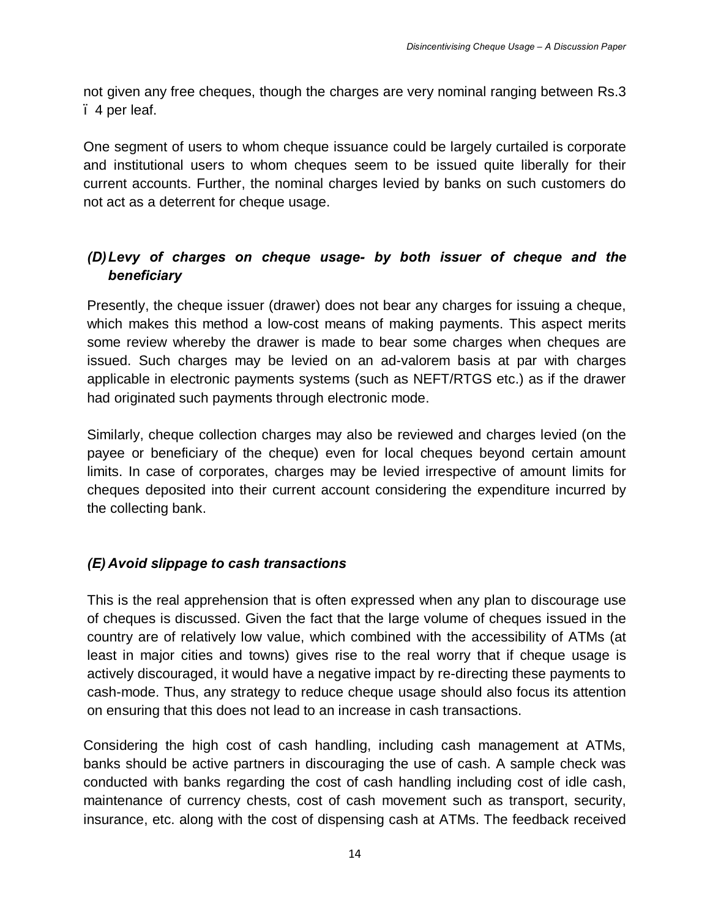not given any free cheques, though the charges are very nominal ranging between Rs.3 – 4 per leaf.

One segment of users to whom cheque issuance could be largely curtailed is corporate and institutional users to whom cheques seem to be issued quite liberally for their current accounts. Further, the nominal charges levied by banks on such customers do not act as a deterrent for cheque usage.

# *(D)Levy of charges on cheque usage- by both issuer of cheque and the beneficiary*

Presently, the cheque issuer (drawer) does not bear any charges for issuing a cheque, which makes this method a low-cost means of making payments. This aspect merits some review whereby the drawer is made to bear some charges when cheques are issued. Such charges may be levied on an ad-valorem basis at par with charges applicable in electronic payments systems (such as NEFT/RTGS etc.) as if the drawer had originated such payments through electronic mode.

Similarly, cheque collection charges may also be reviewed and charges levied (on the payee or beneficiary of the cheque) even for local cheques beyond certain amount limits. In case of corporates, charges may be levied irrespective of amount limits for cheques deposited into their current account considering the expenditure incurred by the collecting bank.

### *(E) Avoid slippage to cash transactions*

This is the real apprehension that is often expressed when any plan to discourage use of cheques is discussed. Given the fact that the large volume of cheques issued in the country are of relatively low value, which combined with the accessibility of ATMs (at least in major cities and towns) gives rise to the real worry that if cheque usage is actively discouraged, it would have a negative impact by re-directing these payments to cash-mode. Thus, any strategy to reduce cheque usage should also focus its attention on ensuring that this does not lead to an increase in cash transactions.

Considering the high cost of cash handling, including cash management at ATMs, banks should be active partners in discouraging the use of cash. A sample check was conducted with banks regarding the cost of cash handling including cost of idle cash, maintenance of currency chests, cost of cash movement such as transport, security, insurance, etc. along with the cost of dispensing cash at ATMs. The feedback received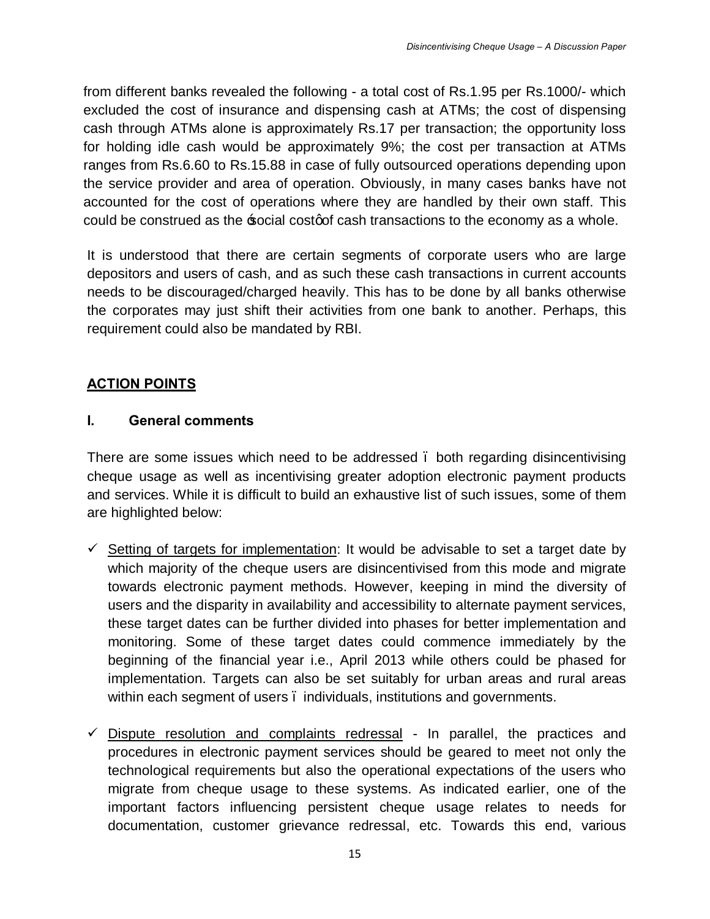from different banks revealed the following - a total cost of Rs.1.95 per Rs.1000/- which excluded the cost of insurance and dispensing cash at ATMs; the cost of dispensing cash through ATMs alone is approximately Rs.17 per transaction; the opportunity loss for holding idle cash would be approximately 9%; the cost per transaction at ATMs ranges from Rs.6.60 to Rs.15.88 in case of fully outsourced operations depending upon the service provider and area of operation. Obviously, in many cases banks have not accounted for the cost of operations where they are handled by their own staff. This could be construed as the social cost of cash transactions to the economy as a whole.

It is understood that there are certain segments of corporate users who are large depositors and users of cash, and as such these cash transactions in current accounts needs to be discouraged/charged heavily. This has to be done by all banks otherwise the corporates may just shift their activities from one bank to another. Perhaps, this requirement could also be mandated by RBI.

# **ACTION POINTS**

#### **I. General comments**

There are some issues which need to be addressed – both regarding disincentivising cheque usage as well as incentivising greater adoption electronic payment products and services. While it is difficult to build an exhaustive list of such issues, some of them are highlighted below:

- $\checkmark$  Setting of targets for implementation: It would be advisable to set a target date by which majority of the cheque users are disincentivised from this mode and migrate towards electronic payment methods. However, keeping in mind the diversity of users and the disparity in availability and accessibility to alternate payment services, these target dates can be further divided into phases for better implementation and monitoring. Some of these target dates could commence immediately by the beginning of the financial year i.e., April 2013 while others could be phased for implementation. Targets can also be set suitably for urban areas and rural areas within each segment of users – individuals, institutions and governments.
- $\checkmark$  Dispute resolution and complaints redressal In parallel, the practices and procedures in electronic payment services should be geared to meet not only the technological requirements but also the operational expectations of the users who migrate from cheque usage to these systems. As indicated earlier, one of the important factors influencing persistent cheque usage relates to needs for documentation, customer grievance redressal, etc. Towards this end, various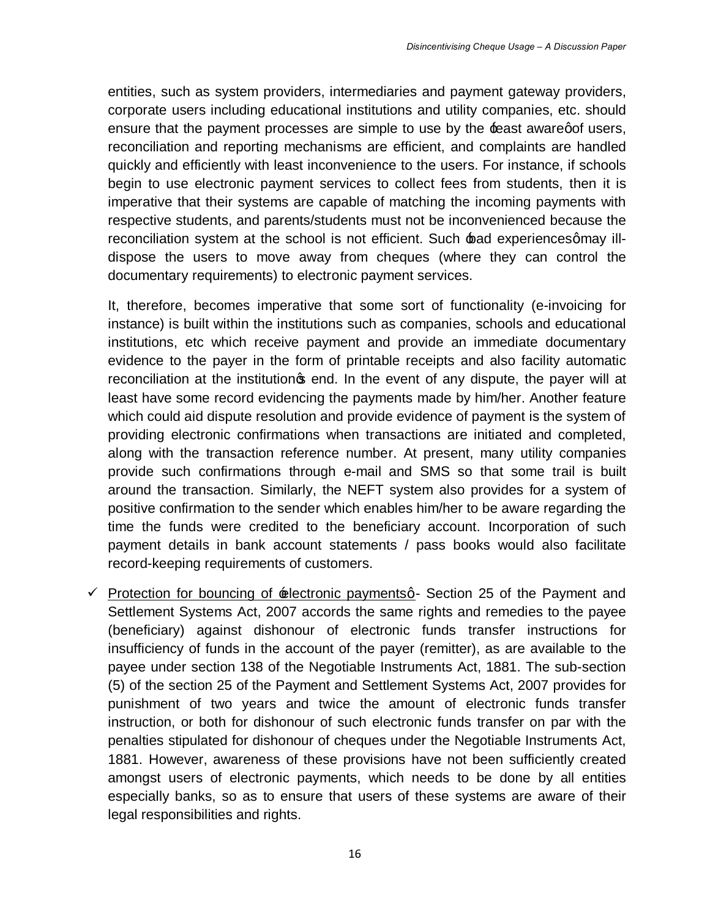entities, such as system providers, intermediaries and payment gateway providers, corporate users including educational institutions and utility companies, etc. should ensure that the payment processes are simple to use by the least awaregof users, reconciliation and reporting mechanisms are efficient, and complaints are handled quickly and efficiently with least inconvenience to the users. For instance, if schools begin to use electronic payment services to collect fees from students, then it is imperative that their systems are capable of matching the incoming payments with respective students, and parents/students must not be inconvenienced because the reconciliation system at the school is not efficient. Such bad experiencesgmay illdispose the users to move away from cheques (where they can control the documentary requirements) to electronic payment services.

It, therefore, becomes imperative that some sort of functionality (e-invoicing for instance) is built within the institutions such as companies, schools and educational institutions, etc which receive payment and provide an immediate documentary evidence to the payer in the form of printable receipts and also facility automatic reconciliation at the institution<sub>s</sub> end. In the event of any dispute, the payer will at least have some record evidencing the payments made by him/her. Another feature which could aid dispute resolution and provide evidence of payment is the system of providing electronic confirmations when transactions are initiated and completed, along with the transaction reference number. At present, many utility companies provide such confirmations through e-mail and SMS so that some trail is built around the transaction. Similarly, the NEFT system also provides for a system of positive confirmation to the sender which enables him/her to be aware regarding the time the funds were credited to the beneficiary account. Incorporation of such payment details in bank account statements / pass books would also facilitate record-keeping requirements of customers.

 $\checkmark$  Protection for bouncing of  $\hat{z}$  electronic paymentsq - Section 25 of the Payment and Settlement Systems Act, 2007 accords the same rights and remedies to the payee (beneficiary) against dishonour of electronic funds transfer instructions for insufficiency of funds in the account of the payer (remitter), as are available to the payee under section 138 of the Negotiable Instruments Act, 1881. The sub-section (5) of the section 25 of the Payment and Settlement Systems Act, 2007 provides for punishment of two years and twice the amount of electronic funds transfer instruction, or both for dishonour of such electronic funds transfer on par with the penalties stipulated for dishonour of cheques under the Negotiable Instruments Act, 1881. However, awareness of these provisions have not been sufficiently created amongst users of electronic payments, which needs to be done by all entities especially banks, so as to ensure that users of these systems are aware of their legal responsibilities and rights.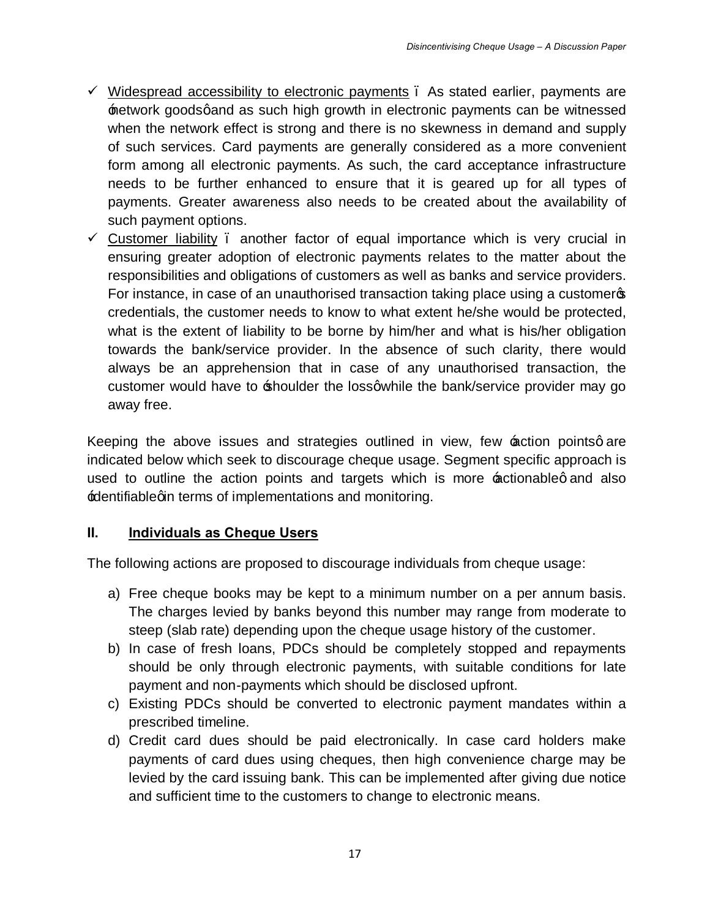- $\checkmark$  Widespread accessibility to electronic payments . As stated earlier, payments are network goodsgand as such high growth in electronic payments can be witnessed when the network effect is strong and there is no skewness in demand and supply of such services. Card payments are generally considered as a more convenient form among all electronic payments. As such, the card acceptance infrastructure needs to be further enhanced to ensure that it is geared up for all types of payments. Greater awareness also needs to be created about the availability of such payment options.
- $\checkmark$  Customer liability . another factor of equal importance which is very crucial in ensuring greater adoption of electronic payments relates to the matter about the responsibilities and obligations of customers as well as banks and service providers. For instance, in case of an unauthorised transaction taking place using a customer credentials, the customer needs to know to what extent he/she would be protected, what is the extent of liability to be borne by him/her and what is his/her obligation towards the bank/service provider. In the absence of such clarity, there would always be an apprehension that in case of any unauthorised transaction, the customer would have to shoulder the loss q while the bank/service provider may go away free.

Keeping the above issues and strategies outlined in view, few  $\pm$  ction pointsg are indicated below which seek to discourage cheque usage. Segment specific approach is used to outline the action points and targets which is more nectionableg and also identifiablegin terms of implementations and monitoring.

### **II. Individuals as Cheque Users**

The following actions are proposed to discourage individuals from cheque usage:

- a) Free cheque books may be kept to a minimum number on a per annum basis. The charges levied by banks beyond this number may range from moderate to steep (slab rate) depending upon the cheque usage history of the customer.
- b) In case of fresh loans, PDCs should be completely stopped and repayments should be only through electronic payments, with suitable conditions for late payment and non-payments which should be disclosed upfront.
- c) Existing PDCs should be converted to electronic payment mandates within a prescribed timeline.
- d) Credit card dues should be paid electronically. In case card holders make payments of card dues using cheques, then high convenience charge may be levied by the card issuing bank. This can be implemented after giving due notice and sufficient time to the customers to change to electronic means.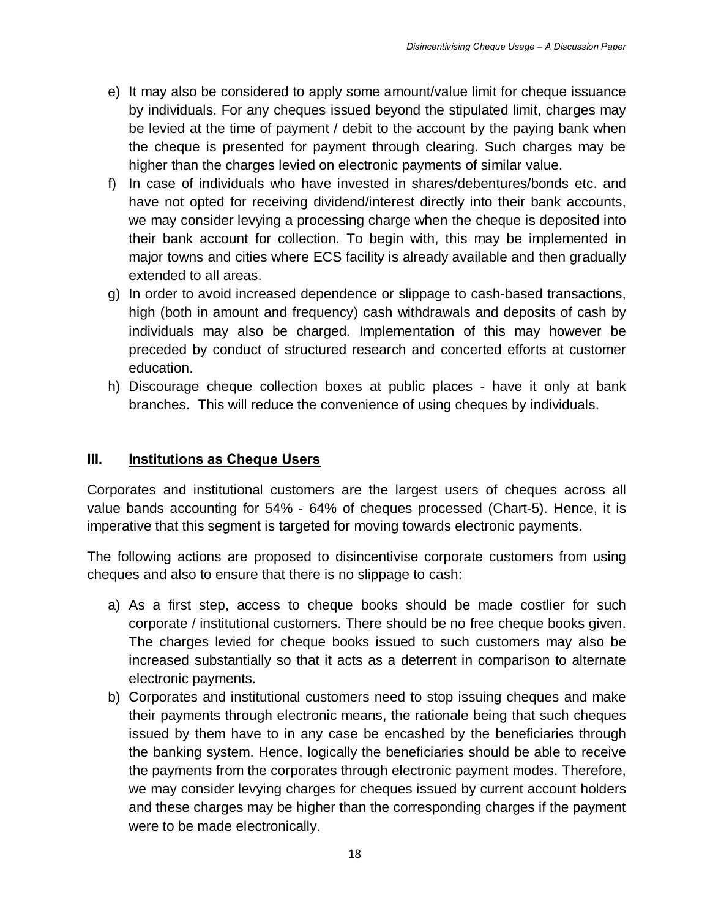- e) It may also be considered to apply some amount/value limit for cheque issuance by individuals. For any cheques issued beyond the stipulated limit, charges may be levied at the time of payment / debit to the account by the paying bank when the cheque is presented for payment through clearing. Such charges may be higher than the charges levied on electronic payments of similar value.
- f) In case of individuals who have invested in shares/debentures/bonds etc. and have not opted for receiving dividend/interest directly into their bank accounts, we may consider levying a processing charge when the cheque is deposited into their bank account for collection. To begin with, this may be implemented in major towns and cities where ECS facility is already available and then gradually extended to all areas.
- g) In order to avoid increased dependence or slippage to cash-based transactions, high (both in amount and frequency) cash withdrawals and deposits of cash by individuals may also be charged. Implementation of this may however be preceded by conduct of structured research and concerted efforts at customer education.
- h) Discourage cheque collection boxes at public places have it only at bank branches. This will reduce the convenience of using cheques by individuals.

# **III. Institutions as Cheque Users**

Corporates and institutional customers are the largest users of cheques across all value bands accounting for 54% - 64% of cheques processed (Chart-5). Hence, it is imperative that this segment is targeted for moving towards electronic payments.

The following actions are proposed to disincentivise corporate customers from using cheques and also to ensure that there is no slippage to cash:

- a) As a first step, access to cheque books should be made costlier for such corporate / institutional customers. There should be no free cheque books given. The charges levied for cheque books issued to such customers may also be increased substantially so that it acts as a deterrent in comparison to alternate electronic payments.
- b) Corporates and institutional customers need to stop issuing cheques and make their payments through electronic means, the rationale being that such cheques issued by them have to in any case be encashed by the beneficiaries through the banking system. Hence, logically the beneficiaries should be able to receive the payments from the corporates through electronic payment modes. Therefore, we may consider levying charges for cheques issued by current account holders and these charges may be higher than the corresponding charges if the payment were to be made electronically.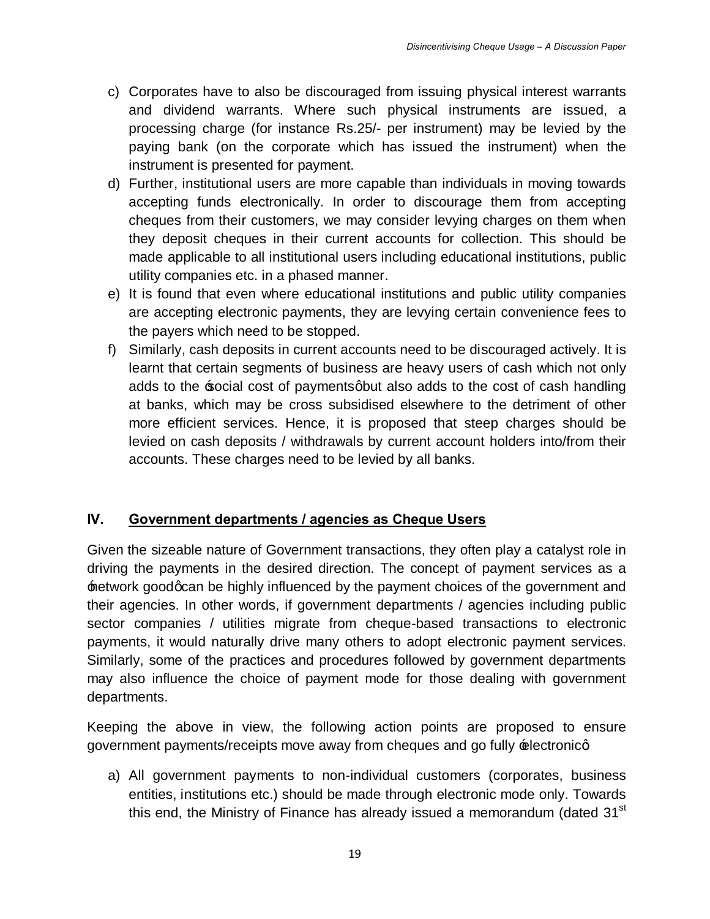- c) Corporates have to also be discouraged from issuing physical interest warrants and dividend warrants. Where such physical instruments are issued, a processing charge (for instance Rs.25/- per instrument) may be levied by the paying bank (on the corporate which has issued the instrument) when the instrument is presented for payment.
- d) Further, institutional users are more capable than individuals in moving towards accepting funds electronically. In order to discourage them from accepting cheques from their customers, we may consider levying charges on them when they deposit cheques in their current accounts for collection. This should be made applicable to all institutional users including educational institutions, public utility companies etc. in a phased manner.
- e) It is found that even where educational institutions and public utility companies are accepting electronic payments, they are levying certain convenience fees to the payers which need to be stopped.
- f) Similarly, cash deposits in current accounts need to be discouraged actively. It is learnt that certain segments of business are heavy users of cash which not only adds to the social cost of payments abut also adds to the cost of cash handling at banks, which may be cross subsidised elsewhere to the detriment of other more efficient services. Hence, it is proposed that steep charges should be levied on cash deposits / withdrawals by current account holders into/from their accounts. These charges need to be levied by all banks.

### **IV. Government departments / agencies as Cheque Users**

Given the sizeable nature of Government transactions, they often play a catalyst role in driving the payments in the desired direction. The concept of payment services as a network good q can be highly influenced by the payment choices of the government and their agencies. In other words, if government departments / agencies including public sector companies / utilities migrate from cheque-based transactions to electronic payments, it would naturally drive many others to adopt electronic payment services. Similarly, some of the practices and procedures followed by government departments may also influence the choice of payment mode for those dealing with government departments.

Keeping the above in view, the following action points are proposed to ensure government payments/receipts move away from cheques and go fully  $\triangle$ electronicq

a) All government payments to non-individual customers (corporates, business entities, institutions etc.) should be made through electronic mode only. Towards this end, the Ministry of Finance has already issued a memorandum (dated 31<sup>st</sup>)